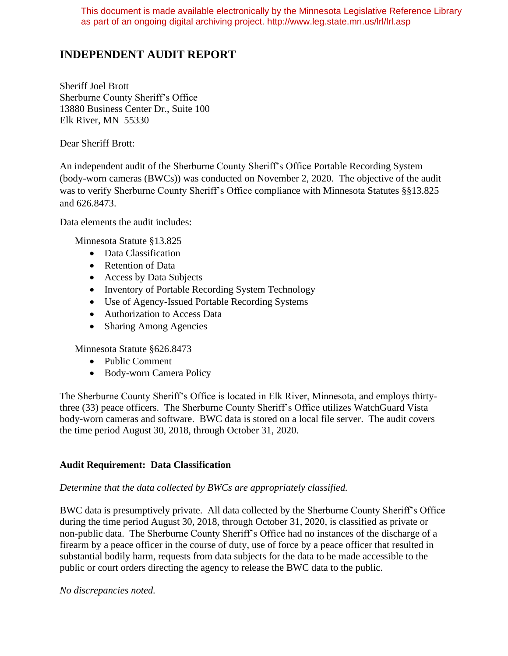This document is made available electronically by the Minnesota Legislative Reference Library as part of an ongoing digital archiving project. http://www.leg.state.mn.us/lrl/lrl.asp

# **INDEPENDENT AUDIT REPORT**

Sheriff Joel Brott Sherburne County Sheriff's Office 13880 Business Center Dr., Suite 100 Elk River, MN 55330

Dear Sheriff Brott:

An independent audit of the Sherburne County Sheriff's Office Portable Recording System (body-worn cameras (BWCs)) was conducted on November 2, 2020. The objective of the audit was to verify Sherburne County Sheriff's Office compliance with Minnesota Statutes §§13.825 and 626.8473.

Data elements the audit includes:

Minnesota Statute §13.825

- Data Classification
- Retention of Data
- Access by Data Subjects
- Inventory of Portable Recording System Technology
- Use of Agency-Issued Portable Recording Systems
- Authorization to Access Data
- Sharing Among Agencies

Minnesota Statute §626.8473

- Public Comment
- Body-worn Camera Policy

The Sherburne County Sheriff's Office is located in Elk River, Minnesota, and employs thirtythree (33) peace officers. The Sherburne County Sheriff's Office utilizes WatchGuard Vista body-worn cameras and software. BWC data is stored on a local file server. The audit covers the time period August 30, 2018, through October 31, 2020.

### **Audit Requirement: Data Classification**

#### *Determine that the data collected by BWCs are appropriately classified.*

BWC data is presumptively private. All data collected by the Sherburne County Sheriff's Office during the time period August 30, 2018, through October 31, 2020, is classified as private or non-public data. The Sherburne County Sheriff's Office had no instances of the discharge of a firearm by a peace officer in the course of duty, use of force by a peace officer that resulted in substantial bodily harm, requests from data subjects for the data to be made accessible to the public or court orders directing the agency to release the BWC data to the public.

*No discrepancies noted.*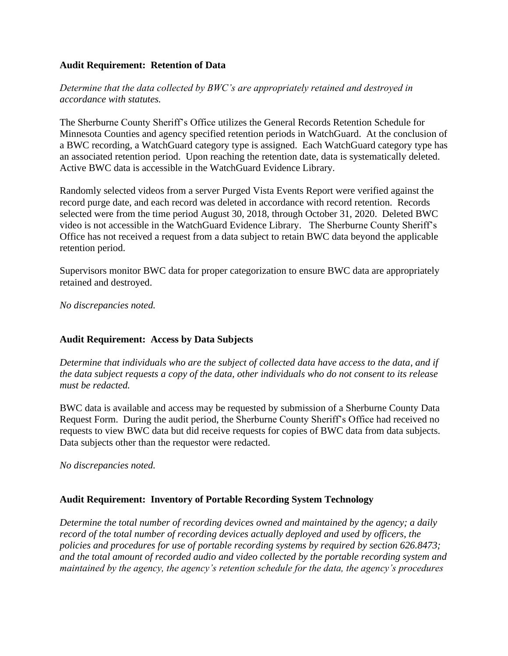#### **Audit Requirement: Retention of Data**

*Determine that the data collected by BWC's are appropriately retained and destroyed in accordance with statutes.*

The Sherburne County Sheriff's Office utilizes the General Records Retention Schedule for Minnesota Counties and agency specified retention periods in WatchGuard. At the conclusion of a BWC recording, a WatchGuard category type is assigned. Each WatchGuard category type has an associated retention period. Upon reaching the retention date, data is systematically deleted. Active BWC data is accessible in the WatchGuard Evidence Library.

Randomly selected videos from a server Purged Vista Events Report were verified against the record purge date, and each record was deleted in accordance with record retention. Records selected were from the time period August 30, 2018, through October 31, 2020. Deleted BWC video is not accessible in the WatchGuard Evidence Library. The Sherburne County Sheriff's Office has not received a request from a data subject to retain BWC data beyond the applicable retention period.

Supervisors monitor BWC data for proper categorization to ensure BWC data are appropriately retained and destroyed.

*No discrepancies noted.*

### **Audit Requirement: Access by Data Subjects**

*Determine that individuals who are the subject of collected data have access to the data, and if the data subject requests a copy of the data, other individuals who do not consent to its release must be redacted.*

BWC data is available and access may be requested by submission of a Sherburne County Data Request Form. During the audit period, the Sherburne County Sheriff's Office had received no requests to view BWC data but did receive requests for copies of BWC data from data subjects. Data subjects other than the requestor were redacted.

*No discrepancies noted.*

### **Audit Requirement: Inventory of Portable Recording System Technology**

*Determine the total number of recording devices owned and maintained by the agency; a daily record of the total number of recording devices actually deployed and used by officers, the policies and procedures for use of portable recording systems by required by section 626.8473; and the total amount of recorded audio and video collected by the portable recording system and maintained by the agency, the agency's retention schedule for the data, the agency's procedures*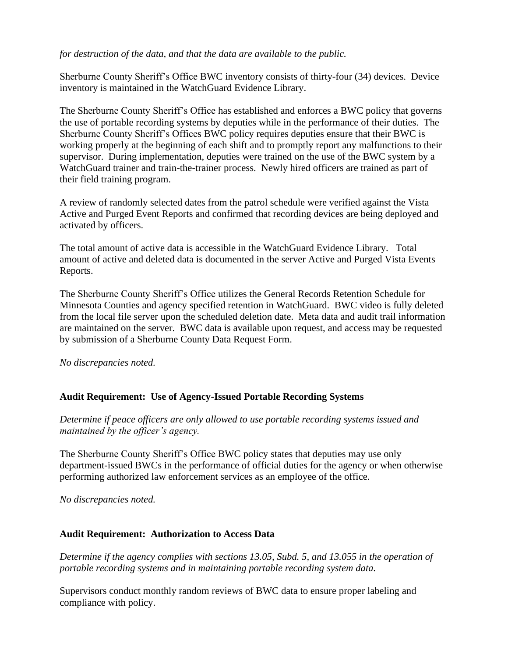*for destruction of the data, and that the data are available to the public.*

Sherburne County Sheriff's Office BWC inventory consists of thirty-four (34) devices. Device inventory is maintained in the WatchGuard Evidence Library.

The Sherburne County Sheriff's Office has established and enforces a BWC policy that governs the use of portable recording systems by deputies while in the performance of their duties. The Sherburne County Sheriff's Offices BWC policy requires deputies ensure that their BWC is working properly at the beginning of each shift and to promptly report any malfunctions to their supervisor. During implementation, deputies were trained on the use of the BWC system by a WatchGuard trainer and train-the-trainer process. Newly hired officers are trained as part of their field training program.

A review of randomly selected dates from the patrol schedule were verified against the Vista Active and Purged Event Reports and confirmed that recording devices are being deployed and activated by officers.

The total amount of active data is accessible in the WatchGuard Evidence Library. Total amount of active and deleted data is documented in the server Active and Purged Vista Events Reports.

The Sherburne County Sheriff's Office utilizes the General Records Retention Schedule for Minnesota Counties and agency specified retention in WatchGuard. BWC video is fully deleted from the local file server upon the scheduled deletion date. Meta data and audit trail information are maintained on the server. BWC data is available upon request, and access may be requested by submission of a Sherburne County Data Request Form.

*No discrepancies noted.*

## **Audit Requirement: Use of Agency-Issued Portable Recording Systems**

*Determine if peace officers are only allowed to use portable recording systems issued and maintained by the officer's agency.*

The Sherburne County Sheriff's Office BWC policy states that deputies may use only department-issued BWCs in the performance of official duties for the agency or when otherwise performing authorized law enforcement services as an employee of the office.

*No discrepancies noted.*

### **Audit Requirement: Authorization to Access Data**

*Determine if the agency complies with sections 13.05, Subd. 5, and 13.055 in the operation of portable recording systems and in maintaining portable recording system data.*

Supervisors conduct monthly random reviews of BWC data to ensure proper labeling and compliance with policy.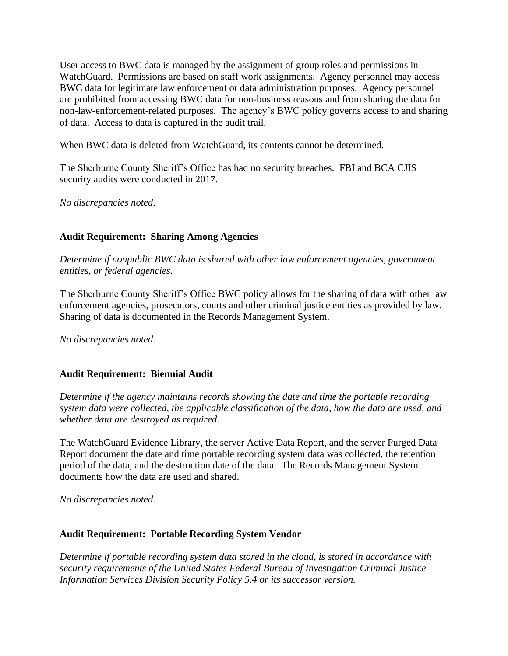User access to BWC data is managed by the assignment of group roles and permissions in WatchGuard. Permissions are based on staff work assignments. Agency personnel may access BWC data for legitimate law enforcement or data administration purposes. Agency personnel are prohibited from accessing BWC data for non-business reasons and from sharing the data for non-law-enforcement-related purposes. The agency's BWC policy governs access to and sharing of data. Access to data is captured in the audit trail.

When BWC data is deleted from WatchGuard, its contents cannot be determined.

The Sherburne County Sheriff's Office has had no security breaches. FBI and BCA CJIS security audits were conducted in 2017.

*No discrepancies noted.*

## **Audit Requirement: Sharing Among Agencies**

*Determine if nonpublic BWC data is shared with other law enforcement agencies, government entities, or federal agencies.*

The Sherburne County Sheriff's Office BWC policy allows for the sharing of data with other law enforcement agencies, prosecutors, courts and other criminal justice entities as provided by law. Sharing of data is documented in the Records Management System.

*No discrepancies noted.*

### **Audit Requirement: Biennial Audit**

*Determine if the agency maintains records showing the date and time the portable recording system data were collected, the applicable classification of the data, how the data are used, and whether data are destroyed as required.* 

The WatchGuard Evidence Library, the server Active Data Report, and the server Purged Data Report document the date and time portable recording system data was collected, the retention period of the data, and the destruction date of the data. The Records Management System documents how the data are used and shared.

*No discrepancies noted.*

### **Audit Requirement: Portable Recording System Vendor**

*Determine if portable recording system data stored in the cloud, is stored in accordance with security requirements of the United States Federal Bureau of Investigation Criminal Justice Information Services Division Security Policy 5.4 or its successor version.*